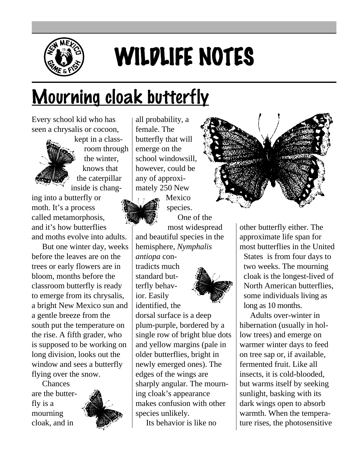

## WILDLIFE NOTES

## Mourning cloak butterfly

Every school kid who has seen a chrysalis or cocoon,

> kept in a classroom through the winter, knows that the caterpillar inside is chang-

ing into a butterfly or moth. It's a process called metamorphosis, and it's how butterflies and moths evolve into adults.

But one winter day, weeks before the leaves are on the trees or early flowers are in bloom, months before the classroom butterfly is ready to emerge from its chrysalis, a bright New Mexico sun and a gentle breeze from the south put the temperature on the rise. A fifth grader, who is supposed to be working on long division, looks out the window and sees a butterfly flying over the snow.

Chances are the butterfly is a mourning cloak, and in



all probability, a female. The butterfly that will emerge on the school windowsill, however, could be any of approximately 250 New



Mexico species. One of the

most widespread and beautiful species in the hemisphere, *Nymphalis*

*antiopa* contradicts much standard butterfly behavior. Easily identified, the



dorsal surface is a deep plum-purple, bordered by a single row of bright blue dots and yellow margins (pale in older butterflies, bright in newly emerged ones). The edges of the wings are sharply angular. The mourning cloak's appearance makes confusion with other species unlikely.

Its behavior is like no



other butterfly either. The approximate life span for most butterflies in the United States is from four days to two weeks. The mourning cloak is the longest-lived of North American butterflies, some individuals living as long as 10 months.

Adults over-winter in hibernation (usually in hollow trees) and emerge on warmer winter days to feed on tree sap or, if available, fermented fruit. Like all insects, it is cold-blooded, but warms itself by seeking sunlight, basking with its dark wings open to absorb warmth. When the temperature rises, the photosensitive